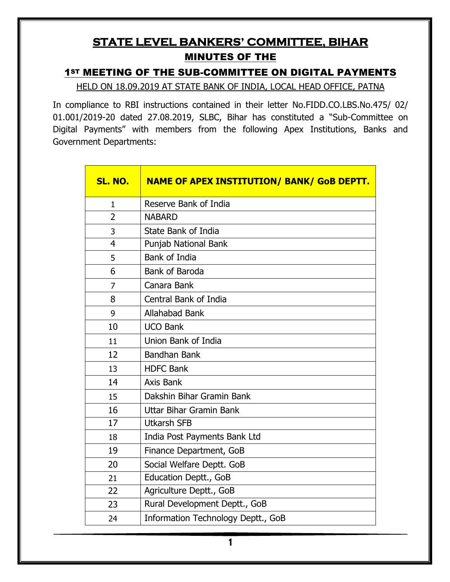## **STATE LEVEL BANKERS' COMMITTEE, BIHAR**  MINUTES OF THE

#### 1ST MEETING OF THE SUB-COMMITTEE ON DIGITAL PAYMENTS

HELD ON 18.09.2019 AT STATE BANK OF INDIA, LOCAL HEAD OFFICE, PATNA

In compliance to RBI instructions contained in their letter No.FIDD.CO.LBS.No.475/ 02/ 01.001/2019-20 dated 27.08.2019, SLBC, Bihar has constituted a "Sub-Committee on Digital Payments" with members from the following Apex Institutions, Banks and Government Departments:

| SL. NO.        | <b>NAME OF APEX INSTITUTION/ BANK/ GoB DEPTT.</b> |  |
|----------------|---------------------------------------------------|--|
| $\mathbf{1}$   | Reserve Bank of India                             |  |
| $\overline{2}$ | <b>NABARD</b>                                     |  |
| 3              | <b>State Bank of India</b>                        |  |
| 4              | Punjab National Bank                              |  |
| 5              | Bank of India                                     |  |
| 6              | Bank of Baroda                                    |  |
| 7              | Canara Bank                                       |  |
| 8              | <b>Central Bank of India</b>                      |  |
| 9              | <b>Allahabad Bank</b>                             |  |
| 10             | <b>UCO Bank</b>                                   |  |
| 11             | Union Bank of India                               |  |
| 12             | <b>Bandhan Bank</b>                               |  |
| 13             | <b>HDFC Bank</b>                                  |  |
| 14             | Axis Bank                                         |  |
| 15             | Dakshin Bihar Gramin Bank                         |  |
| 16             | Uttar Bihar Gramin Bank                           |  |
| 17             | <b>Utkarsh SFB</b>                                |  |
| 18             | India Post Payments Bank Ltd                      |  |
| 19             | Finance Department, GoB                           |  |
| 20             | Social Welfare Deptt. GoB                         |  |
| 21             | Education Deptt., GoB                             |  |
| 22             | Agriculture Deptt., GoB                           |  |
| 23             | Rural Development Deptt., GoB                     |  |
| 24             | Information Technology Deptt., GoB                |  |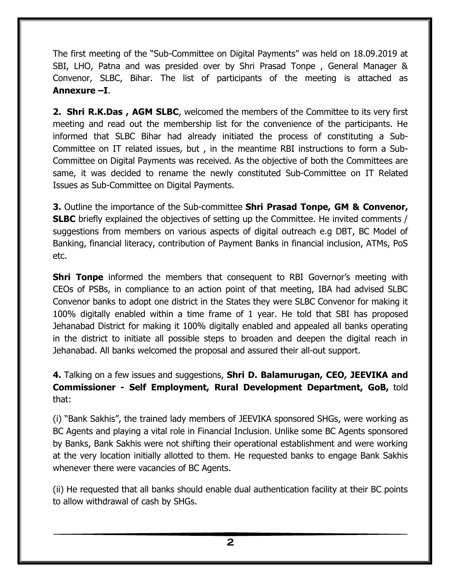The first meeting of the "Sub-Committee on Digital Payments" was held on 18.09.2019 at SBI, LHO, Patna and was presided over by Shri Prasad Tonpe , General Manager & Convenor, SLBC, Bihar. The list of participants of the meeting is attached as **Annexure –I**.

**2. Shri R.K.Das , AGM SLBC**, welcomed the members of the Committee to its very first meeting and read out the membership list for the convenience of the participants. He informed that SLBC Bihar had already initiated the process of constituting a Sub-Committee on IT related issues, but , in the meantime RBI instructions to form a Sub-Committee on Digital Payments was received. As the objective of both the Committees are same, it was decided to rename the newly constituted Sub-Committee on IT Related Issues as Sub-Committee on Digital Payments.

**3.** Outline the importance of the Sub-committee **Shri Prasad Tonpe, GM & Convenor, SLBC** briefly explained the objectives of setting up the Committee. He invited comments / suggestions from members on various aspects of digital outreach e.g DBT, BC Model of Banking, financial literacy, contribution of Payment Banks in financial inclusion, ATMs, PoS etc.

**Shri Tonpe** informed the members that consequent to RBI Governor's meeting with CEOs of PSBs, in compliance to an action point of that meeting, IBA had advised SLBC Convenor banks to adopt one district in the States they were SLBC Convenor for making it 100% digitally enabled within a time frame of 1 year. He told that SBI has proposed Jehanabad District for making it 100% digitally enabled and appealed all banks operating in the district to initiate all possible steps to broaden and deepen the digital reach in Jehanabad. All banks welcomed the proposal and assured their all-out support.

**4.** Talking on a few issues and suggestions, **Shri D. Balamurugan, CEO, JEEVIKA and Commissioner - Self Employment, Rural Development Department, GoB,** told that:

(i) "Bank Sakhis", the trained lady members of JEEVIKA sponsored SHGs, were working as BC Agents and playing a vital role in Financial Inclusion. Unlike some BC Agents sponsored by Banks, Bank Sakhis were not shifting their operational establishment and were working at the very location initially allotted to them. He requested banks to engage Bank Sakhis whenever there were vacancies of BC Agents.

(ii) He requested that all banks should enable dual authentication facility at their BC points to allow withdrawal of cash by SHGs.

**2**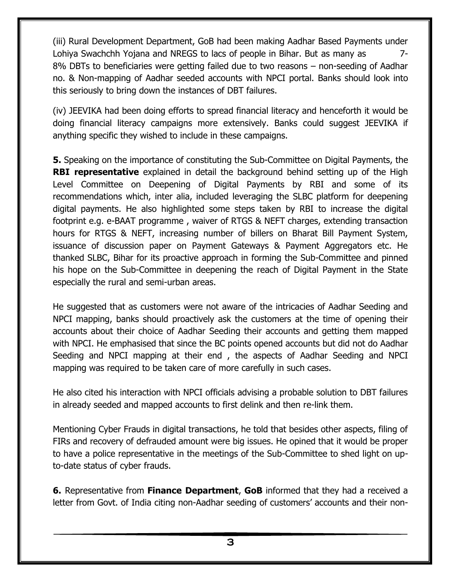(iii) Rural Development Department, GoB had been making Aadhar Based Payments under Lohiya Swachchh Yojana and NREGS to lacs of people in Bihar. But as many as 7-8% DBTs to beneficiaries were getting failed due to two reasons – non-seeding of Aadhar no. & Non-mapping of Aadhar seeded accounts with NPCI portal. Banks should look into this seriously to bring down the instances of DBT failures.

(iv) JEEVIKA had been doing efforts to spread financial literacy and henceforth it would be doing financial literacy campaigns more extensively. Banks could suggest JEEVIKA if anything specific they wished to include in these campaigns.

**5.** Speaking on the importance of constituting the Sub-Committee on Digital Payments, the **RBI representative** explained in detail the background behind setting up of the High Level Committee on Deepening of Digital Payments by RBI and some of its recommendations which, inter alia, included leveraging the SLBC platform for deepening digital payments. He also highlighted some steps taken by RBI to increase the digital footprint e.g. e-BAAT programme , waiver of RTGS & NEFT charges, extending transaction hours for RTGS & NEFT, increasing number of billers on Bharat Bill Payment System, issuance of discussion paper on Payment Gateways & Payment Aggregators etc. He thanked SLBC, Bihar for its proactive approach in forming the Sub-Committee and pinned his hope on the Sub-Committee in deepening the reach of Digital Payment in the State especially the rural and semi-urban areas.

He suggested that as customers were not aware of the intricacies of Aadhar Seeding and NPCI mapping, banks should proactively ask the customers at the time of opening their accounts about their choice of Aadhar Seeding their accounts and getting them mapped with NPCI. He emphasised that since the BC points opened accounts but did not do Aadhar Seeding and NPCI mapping at their end , the aspects of Aadhar Seeding and NPCI mapping was required to be taken care of more carefully in such cases.

He also cited his interaction with NPCI officials advising a probable solution to DBT failures in already seeded and mapped accounts to first delink and then re-link them.

Mentioning Cyber Frauds in digital transactions, he told that besides other aspects, filing of FIRs and recovery of defrauded amount were big issues. He opined that it would be proper to have a police representative in the meetings of the Sub-Committee to shed light on upto-date status of cyber frauds.

**6.** Representative from **Finance Department**, **GoB** informed that they had a received a letter from Govt. of India citing non-Aadhar seeding of customers' accounts and their non-

**3**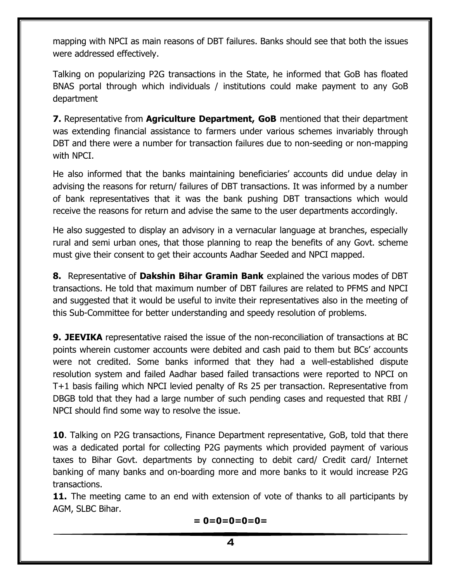mapping with NPCI as main reasons of DBT failures. Banks should see that both the issues were addressed effectively.

Talking on popularizing P2G transactions in the State, he informed that GoB has floated BNAS portal through which individuals / institutions could make payment to any GoB department

**7.** Representative from **Agriculture Department, GoB** mentioned that their department was extending financial assistance to farmers under various schemes invariably through DBT and there were a number for transaction failures due to non-seeding or non-mapping with NPCI.

He also informed that the banks maintaining beneficiaries' accounts did undue delay in advising the reasons for return/ failures of DBT transactions. It was informed by a number of bank representatives that it was the bank pushing DBT transactions which would receive the reasons for return and advise the same to the user departments accordingly.

He also suggested to display an advisory in a vernacular language at branches, especially rural and semi urban ones, that those planning to reap the benefits of any Govt. scheme must give their consent to get their accounts Aadhar Seeded and NPCI mapped.

**8.** Representative of **Dakshin Bihar Gramin Bank** explained the various modes of DBT transactions. He told that maximum number of DBT failures are related to PFMS and NPCI and suggested that it would be useful to invite their representatives also in the meeting of this Sub-Committee for better understanding and speedy resolution of problems.

**9. JEEVIKA** representative raised the issue of the non-reconciliation of transactions at BC points wherein customer accounts were debited and cash paid to them but BCs' accounts were not credited. Some banks informed that they had a well-established dispute resolution system and failed Aadhar based failed transactions were reported to NPCI on T+1 basis failing which NPCI levied penalty of Rs 25 per transaction. Representative from DBGB told that they had a large number of such pending cases and requested that RBI / NPCI should find some way to resolve the issue.

**10**. Talking on P2G transactions, Finance Department representative, GoB, told that there was a dedicated portal for collecting P2G payments which provided payment of various taxes to Bihar Govt. departments by connecting to debit card/ Credit card/ Internet banking of many banks and on-boarding more and more banks to it would increase P2G transactions.

**11.** The meeting came to an end with extension of vote of thanks to all participants by AGM, SLBC Bihar.

$$
= 0=0=0=0=0=
$$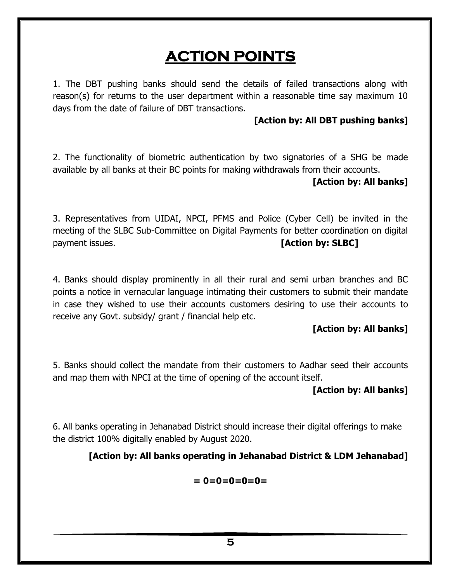# **ACTION POINTS**

1. The DBT pushing banks should send the details of failed transactions along with reason(s) for returns to the user department within a reasonable time say maximum 10 days from the date of failure of DBT transactions.

#### **[Action by: All DBT pushing banks]**

2. The functionality of biometric authentication by two signatories of a SHG be made available by all banks at their BC points for making withdrawals from their accounts.

#### **[Action by: All banks]**

3. Representatives from UIDAI, NPCI, PFMS and Police (Cyber Cell) be invited in the meeting of the SLBC Sub-Committee on Digital Payments for better coordination on digital payment issues. **[Action by: SLBC]**

4. Banks should display prominently in all their rural and semi urban branches and BC points a notice in vernacular language intimating their customers to submit their mandate in case they wished to use their accounts customers desiring to use their accounts to receive any Govt. subsidy/ grant / financial help etc.

#### **[Action by: All banks]**

5. Banks should collect the mandate from their customers to Aadhar seed their accounts and map them with NPCI at the time of opening of the account itself.

#### **[Action by: All banks]**

6. All banks operating in Jehanabad District should increase their digital offerings to make the district 100% digitally enabled by August 2020.

#### **[Action by: All banks operating in Jehanabad District & LDM Jehanabad]**

$$
= 0=0=0=0=0=
$$